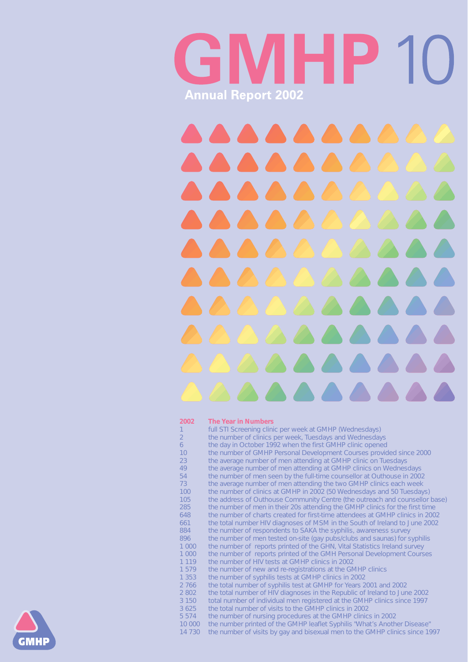# WHEIP.  $\sqrt{2}$ **Annual Report 2002**

#### **2002 The Year in Numbers**

- 1 full STI Screening clinic per week at GMHP (Wednesdays)
- 2 the number of clinics per week, Tuesdays and Wednesdays
- 6 the day in October 1992 when the first GMHP clinic opened
- 10 the number of GMHP Personal Development Courses provided since 2000
- 23 the average number of men attending at GMHP clinic on Tuesdays
- 49 the average number of men attending at GMHP clinics on Wednesdays
- 54 the number of men seen by the full-time counsellor at Outhouse in 2002
- 73 the average number of men attending the two GMHP clinics each week<br>100 the number of clinics at GMHP in 2002 (50 Wednesdays and 50 Tuesday
- the number of clinics at GMHP in 2002 (50 Wednesdays and 50 Tuesdays)
	-

| 105     | the address of Outhouse Community Centre (the outreach and counsellor base)   |
|---------|-------------------------------------------------------------------------------|
| 285     | the number of men in their 20s attending the GMHP clinics for the first time  |
| 648     | the number of charts created for first-time attendees at GMHP clinics in 2002 |
| 661     | the total number HIV diagnoses of MSM in the South of Ireland to June 2002    |
| 884     | the number of respondents to SAKA the syphilis, awareness survey              |
| 896     | the number of men tested on-site (gay pubs/clubs and saunas) for syphilis     |
| 1 0 0 0 | the number of reports printed of the GHN, Vital Statistics Ireland survey     |
| 1 0 0 0 | the number of reports printed of the GMH Personal Development Courses         |
| 1 1 1 9 | the number of HIV tests at GMHP clinics in 2002                               |
| 1579    | the number of new and re-registrations at the GMHP clinics                    |
| 1 3 5 3 | the number of syphilis tests at GMHP clinics in 2002                          |
| 2 766   | the total number of syphilis test at GMHP for Years 2001 and 2002             |
| 2 8 0 2 | the total number of HIV diagnoses in the Republic of Ireland to June 2002     |
| 3 1 5 0 | total number of individual men registered at the GMHP clinics since 1997      |
| 3 6 2 5 | the total number of visits to the GMHP clinics in 2002                        |
| 5 5 7 4 | the number of nursing procedures at the GMHP clinics in 2002                  |
| 10 000  | the number printed of the GMHP leaflet Syphilis "What's Another Disease"      |
| 14 7 30 | the number of visits by gay and bisexual men to the GMHP clinics since 1997   |
|         |                                                                               |

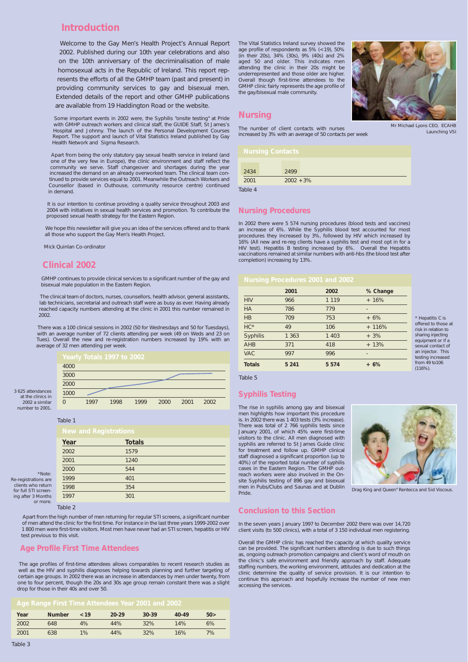## **Introduction**

Welcome to the Gay Men's Health Project's Annual Report 2002. Published during our 10th year celebrations and also on the 10th anniversary of the decriminalisation of male homosexual acts in the Republic of Ireland. This report represents the efforts of all the GMHP team (past and present) in providing community services to gay and bisexual men. Extended details of the report and other GMHP publications are available from 19 Haddington Road or the website.

Some important events in 2002 were, the Syphilis "onsite testing" at Pride with GMHP outreach workers and clinical staff, the GUIDE Staff, St James's Hospital and Johnny. The launch of the Personal Development Courses Report. The support and launch of Vital Statistics Ireland published by Gay Health Network and Sigma Research.

Apart from being the only statutory gay sexual health service in Ireland (and one of the very few in Europe), the clinic environment and staff reflect the community we serve. Staff changeover and shortages during the year increased the demand on an already overworked team. The clinical team continued to provide services equal to 2001. Meanwhile the Outreach Workers and Counsellor (based in Outhouse, community resource centre) continued in demand.

It is our intention to continue providing a quality service throughout 2003 and 2004 with initiatives in sexual health services and promotion. To contribute the proposed sexual health strategy for the Eastern Region.

We hope this newsletter will give you an idea of the services offered and to thank all those who support the Gay Men's Health Project.

*Mick Quinlan Co-ordinator*

### **Clinical 2002**

GMHP continues to provide clinical services to a significant number of the gay and bisexual male population in the Eastern Region.

The clinical team of doctors, nurses, counsellors, health advisor, general assistants, lab technicians, secretarial and outreach staff were as busy as ever. Having already reached capacity numbers attending at the clinic in 2001 this number remained in 2002.

There was a 100 clinical sessions in 2002 (50 for Wednesdays and 50 for Tuesdays), with an average number of 72 clients attending per week (49 on Weds and 23 on Tues). Overall the new and re-registration numbers increased by 19% with an average of 32 men attending per week.

Apart from the high number of men returning for regular STI screens, a significant number of men attend the clinic for the first time. For instance in the last three years 1999-2002 over 1 800 men were first-time visitors. Most men have never had an STI screen, hepatitis or HIV test previous to this visit.

### **Age Profile First Time Attendees**

The age profiles of first-time attendees allows comparables to recent research studies as well as the HIV and syphilis diagnoses helping towards planning and further targeting of certain age groups. In 2002 there was an increase in attendances by men under twenty, from one to four percent, though the 20s and 30s age group remain constant there was a slight drop for those in their 40s and over 50.

The Vital Statistics Ireland survey showed the age profile of respondents as 5% (<19), 50% (in their 20s), 34% (30s), 9% (40s) and 2% aged 50 and older. This indicates men attending the clinic in their 20s might be underrepresented and those older are higher. Overall though first-time attendees to the GMHP clinic fairly represents the age profile of the gay/bisexual male community.

### **Nursing**

The number of client contacts with nurses increased by 3% with an average of 50 contacts per week

#### **Nursing Procedures**

In 2002 there were 5 574 nursing procedures (blood tests and vaccines) an increase of 6%. While the Syphilis blood test accounted for most procedures they increased by 3%, followed by HIV which increased by 16% (All new and re-reg clients have a syphilis test and most opt in for a HIV test). Hepatitis B testing increased by 6%. Overall the Hepatitis vaccinations remained at similar numbers with anti-hbs (the blood test after completion) increasing by 13%.

#### **Syphilis Testing**

The rise in syphilis among gay and bisexual men highlights how important this procedure is. In 2002 there was 1 403 tests (3% increase). There was total of 2 766 syphilis tests since January 2001, of which 45% were first-time visitors to the clinic. All men diagnosed with syphilis are referred to St James Guide clinic for treatment and follow up. GMHP clinical staff diagnosed a significant proportion (up to 40%) of the reported total number of syphilis cases in the Eastern Region. The GMHP outreach workers were also involved in the Onsite Syphilis testing of 896 gay and bisexual men in Pubs/Clubs and Saunas and at Dublin Pride.



### **Conclusion to this Section**

In the seven years January 1997 to December 2002 there was over 14,720 client visits (to 500 clinics), with a total of 3 150 individual men registering.

Overall the GMHP clinic has reached the capacity at which quality service can be provided. The significant numbers attending is due to such things as, ongoing outreach promotion campaigns and client's word of mouth on the clinic's safe environment and friendly approach by staff. Adequate staffing numbers, the working environment, attitudes and dedication at the clinic determine the quality of service provision. It is our intention to continue this approach and hopefully increase the number of new men accessing the services.



#### *Table 1*

*Table 2*

| Year | <b>Totals</b> |  |
|------|---------------|--|
| 2002 | 1579          |  |
| 2001 | 1240          |  |
| 2000 | 544           |  |
| 1999 | 401           |  |
| 1998 | 354           |  |
| 1997 | 301           |  |

*\*Note:*

*Re-registrations are clients who return for full STI screening after 3 Months*

*or more.*

#### *Age Range First Time Attendees Year 2001 and 2002*

| Year | <b>Number</b> | ~19 | $20 - 29$ | $30-39$ | $40 - 49$ | 50 > |
|------|---------------|-----|-----------|---------|-----------|------|
| 2002 | 648           | 4%  | 44%       | 32%     | 14%       | 6%   |
| 2001 | 638           | 1%  | 44%       | 32%     | 16%       | 7%   |



*Launching VSI*

|                 | 2001    | 2002    | % Change |
|-----------------|---------|---------|----------|
| <b>HIV</b>      | 966     | 1 1 1 9 | $+16%$   |
| <b>HA</b>       | 786     | 779     | -        |
| HB              | 709     | 753     | $+6%$    |
| $HC*$           | 49      | 106     | $+116%$  |
| <b>Syphilis</b> | 1 3 6 3 | 1 4 0 3 | $+3\%$   |
| <b>AHB</b>      | 371     | 418     | $+13%$   |
| <b>VAC</b>      | 997     | 996     | -        |
| <b>Totals</b>   | 5 2 4 1 | 5 5 7 4 | $+6%$    |

*<sup>\*</sup> Hepatitis C is offered to those at risk in relation to sharing injecting equipment or if a sexual contact of an injector. This testing increased from 49 to106 (116%).*

*Table 5*

*Drag King and Queen" Rentecca and Sid Viscous.* 

*Table 4*

| 2434    | 2499         |  |  |
|---------|--------------|--|--|
| 2001    | $2002 + 3\%$ |  |  |
| - , , , |              |  |  |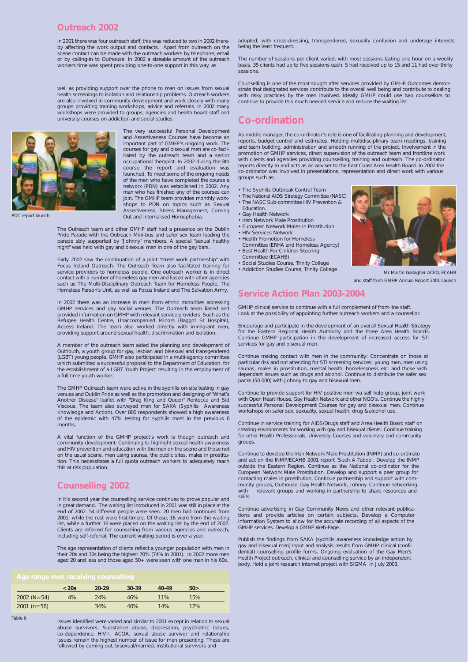### **Outreach 2002**

In 2001 there was four outreach staff, this was reduced to two in 2002 thereby affecting the work output and contacts. Apart from outreach on the scene contact can be made with the outreach workers by telephone, email or by calling-in to Outhouse. In 2002 a sizeable amount of the outreach workers time was spent providing one-to-one support in this way, as

well as providing support over the phone to men on issues from sexual health screenings to isolation and relationship problems. Outreach workers are also involved in community development and work closely with many groups providing training workshops, advice and referrals. In 2002 many workshops were provided to groups, agencies and health board staff and university courses on addiction and social studies.

> The very successful Personal Development and Assertiveness Courses have become an important part of GMHP's ongoing work. The courses for gay and bisexual men are co-facilitated by the outreach team and a senior occupational therapist. In 2002 during the 8th course the report and evaluation was launched. To meet some of the ongoing needs of the men who have completed the course a network (PDN) was established in 2002. Any man who has finished any of the courses can join. The GMHP team provides monthly workshops to PDN on topics such as Sexual Assertiveness, Stress Management, Coming Out and Internalised Homophobia.

The Outreach team and other GMHP staff had a presence on the Dublin Pride Parade with the Outreach Mini-bus and safer sex team leading the parade ably supported by "Johnny" members. A special "sexual healthy night" was held with gay and bisexual men in one of the gay bars.

Early 2002 saw the continuation of a pilot "street work partnership" with Focus Ireland Outreach. The Outreach Team also facilitated training for service providers to homeless people. One outreach worker is in direct contact with a number of homeless gay men and liased with other agencies such as The Multi-Disciplinary Outreach Team for Homeless People, The Homeless Person's Unit, as well as Focus Ireland and The Salvation Army.

In 2002 there was an increase in men from ethnic minorities accessing GMHP services and gay social venues. The Outreach team liased and provided information on GMHP with relevant service providers. Such as the Refugee Health Centre, Unaccompanied Minors (Baggot St Hospital), Access Ireland. The team also worked directly with immigrant men, providing support around sexual health, discrimination and isolation.

A member of the outreach team aided the planning and development of OutYouth, a youth group for gay, lesbian and bisexual and transgendered (LGBT) young people. GMHP also participated in a multi-agency committee which submitted a successful proposal to the Department of Education, for the establishment of a LGBT Youth Project resulting in the employment of a full time youth worker.

The GMHP Outreach team were active in the syphilis on-site testing in gay venues and Dublin Pride as well as the promotion and designing of "What's Another Disease" leaflet with "Drag King and Queen" Rentecca and Sid Viscous. The team also surveyed men for SAKA (Syphilis Awareness Knowledge and Action). Over 800 respondents showed a high awareness of the epidemic with 47% testing for syphilis most in the previous 6 months.

A vital function of the GMHP project's work is though outreach and community development. Continuing to highlight sexual health awareness and HIV prevention and education with the men on the scene and those not on the usual scene, men using saunas, the public sites, males in prostitution. This necessitates a full quota outreach workers to adequately reach this at risk population.

### **Counselling 2002**

In it's second year the counselling service continues to prove popular and

in great demand. The waiting list introduced in 2001 was still in place at the end of 2002. 54 different people were seen. 20 men had continued from 2001, while the rest were first-timers. Of these, 16 were from the waiting list, while a further 16 were placed on the waiting list by the end of 2002. Clients are referred for counselling from various agencies and outreach, including self-referral. The current waiting period is over a year.

The age representation of clients reflect a younger population with men in their 20s and 30s being the highest 70% (74% in 2001). In 2002 more men aged 20 and less and those aged 50+ were seen with one man in his 60s.

Issues identified were varied and similar to 2001 except in relation to sexual abuse survivors. Substance abuse, depression, psychiatric issues, co-dependence, HIV+, ACOA, sexual abuse survivor and relationship issues remain the highest number of issue for men presenting. These are followed by coming out, bisexual/married, institutional survivors and

adopted, with cross-dressing, transgendered, sexuality confusion and underage interests being the least frequent.

The number of sessions per client varied, with most sessions lasting one hour on a weekly basis. 35 clients had up to five sessions each, 5 had received up to 15 and 11 had over thirty sessions.

Counselling is one of the most sought after services provided by GMHP. Outcomes demonstrate that designated services contribute to the overall well being and contribute to dealing with risky practices by the men involved. Ideally GMHP could use two counsellors to continue to provide this much needed service and reduce the waiting list.

# **Co-ordination**

As middle manager, the co-ordinator's role is one of facilitating planning and development, reports, budget control and estimates. Holding multidisciplinary team meetings, training and team building, administration and smooth running of the project. Involvement in the promotion of GMHP services, direct supervision of the outreach team and frontline work with clients and agencies providing counselling, training and outreach. The co-ordinator reports directly to and acts as an adviser to the East Coast Area Health Board. In 2002 the co-ordinator was involved in presentations, representation and direct work with various groups such as;

- The Syphilis Outbreak Control Team
- The National AIDS Strategy Committee (NASC) • The NASC Sub-committee HIV Prevention &
- Education.
- Gay Health Network
- Irish Network Male Prostitution
- European Network Males In Prostitution
- HIV Services Network
- Health Promotion for Homeless Committee (ERHA and Homeless Agency)
- Best Health For Children Steering Committee (ECAHB)
- Social Studies Course, Trinity College
- Addiction Studies Course, Trinity College

### **Service Action Plan 2003-2004**

GMHP clinical service to continue with a full complement of front-line staff. Look at the possibility of appointing further outreach workers and a counsellor.

Encourage and participate in the development of an overall Sexual Health Strategy for the Eastern Regional Health Authority and the three Area Health Boards. Continue GMHP participation in the development of increased access for STI services for gay and bisexual men.

Continue making contact with men in the community: Concentrate on those at particular risk and not attending for STI screening services; young men, men using saunas, males in prostitution, mental health, homelessness etc. and those with dependant issues such as drugs and alcohol. Continue to distribute the safer sex packs (50 000) with Johnny to gay and bisexual men.

Continue to provide support for HIV positive men via self help group, joint work with Open Heart House, Gay Health Network and other NGO's. Continue the highly successful Personal Development Courses for gay and bisexual men. Continue workshops on safer sex, sexuality, sexual health, drug & alcohol use.

Continue in service training for AIDS/Drugs staff and Area Health Board staff on creating environments for working with gay and bisexual clients: Continue training for other Health Professionals, University Courses and voluntary and community groups.

Continue to develop the Irish Network Male Prostitution (INMP) and co-ordinate and act on the INMP/ECAHB 2001 report "Such A Taboo". Develop the INMP outside the Eastern Region. Continue as the National co-ordinator for the European Network Male Prostitution. Develop and support a peer group for contacting males in prostitution. Continue partnership and support with community groups, Outhouse, Gay Health Network, Johnny. Continue networking with relevant groups and working in partnership to share resources and skills.



Continue advertising in Gay Community News and other relevant publications and provide articles on certain subjects. Develop a Computer Information System to allow for the accurate recording of all aspects of the GMHP services. Develop a GMHP Web-Page.

Publish the findings from SAKA (syphilis awareness knowledge action by gay and bisexual men) Input and analysis results from GMHP clinical (confidential) counselling profile forms. Ongoing evaluation of the Gay Men's Health Project outreach, clinical and counselling service by an independent body. Hold a joint research internet project with SIGMA in July 2003.



*PDC report launch*

*Table 6*

#### *Age range men receiving counselling*

|               | $<$ 20s | $20 - 29$ | $30-39$ | 40-49 | 50 > |  |
|---------------|---------|-----------|---------|-------|------|--|
| $2002 (N=54)$ | 4%      | 24%       | 46%     | 11%   | 15%  |  |
| $2001(n=58)$  |         | 34%       | 40%     | 14%   | 12%  |  |

*Mr Martin Gallagher ACEO, ECAHB and staff from GMHP Annual Report 2001 Launch*